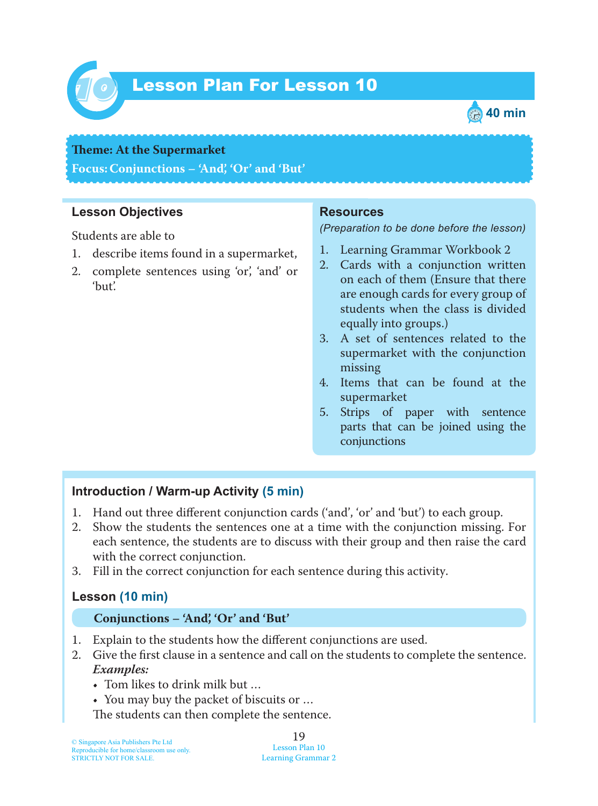

# Lesson Plan For Lesson 10 *10*



#### **Theme: At the Supermarket**

**Focus: Conjunctions – 'And', 'Or' and 'But'**

### **Lesson Objectives**

Students are able to

- 1. describe items found in a supermarket,
- 2. complete sentences using 'or', 'and' or 'but'.

#### **Resources**

*(Preparation to be done before the lesson)*

- 1. Learning Grammar Workbook 2
- 2. Cards with a conjunction written on each of them (Ensure that there are enough cards for every group of students when the class is divided equally into groups.)
- 3. A set of sentences related to the supermarket with the conjunction missing
- 4. Items that can be found at the supermarket
- 5. Strips of paper with sentence parts that can be joined using the conjunctions

## **Introduction / Warm-up Activity (5 min)**

- 1. Hand out three different conjunction cards ('and', 'or' and 'but') to each group.
- 2. Show the students the sentences one at a time with the conjunction missing. For each sentence, the students are to discuss with their group and then raise the card with the correct conjunction.
- 3. Fill in the correct conjunction for each sentence during this activity.

## **Lesson (10 min)**

#### **Conjunctions – 'And', 'Or' and 'But'**

- 1. Explain to the students how the different conjunctions are used.
- 2. Give the first clause in a sentence and call on the students to complete the sentence. *Examples:*
	- Tom likes to drink milk but …
	- You may buy the packet of biscuits or …

The students can then complete the sentence.